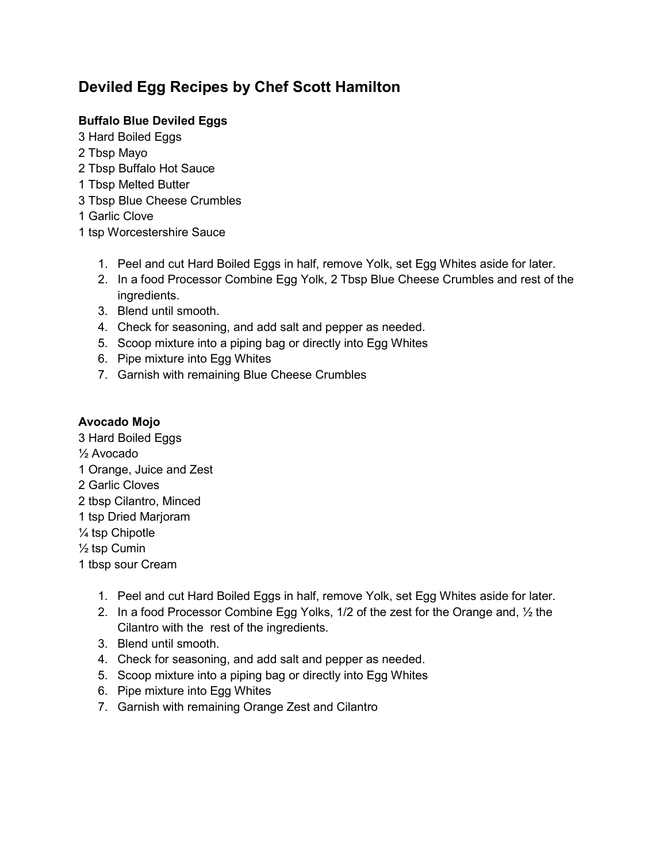# **Deviled Egg Recipes by Chef Scott Hamilton**

## **Buffalo Blue Deviled Eggs**

- 3 Hard Boiled Eggs
- 2 Tbsp Mayo
- 2 Tbsp Buffalo Hot Sauce
- 1 Tbsp Melted Butter
- 3 Tbsp Blue Cheese Crumbles
- 1 Garlic Clove
- 1 tsp Worcestershire Sauce
	- 1. Peel and cut Hard Boiled Eggs in half, remove Yolk, set Egg Whites aside for later.
	- 2. In a food Processor Combine Egg Yolk, 2 Tbsp Blue Cheese Crumbles and rest of the ingredients.
	- 3. Blend until smooth.
	- 4. Check for seasoning, and add salt and pepper as needed.
	- 5. Scoop mixture into a piping bag or directly into Egg Whites
	- 6. Pipe mixture into Egg Whites
	- 7. Garnish with remaining Blue Cheese Crumbles

#### **Avocado Mojo**

3 Hard Boiled Eggs ½ Avocado 1 Orange, Juice and Zest 2 Garlic Cloves 2 tbsp Cilantro, Minced 1 tsp Dried Marjoram ¼ tsp Chipotle  $\frac{1}{2}$  tsp Cumin 1 tbsp sour Cream

- 1. Peel and cut Hard Boiled Eggs in half, remove Yolk, set Egg Whites aside for later.
- 2. In a food Processor Combine Egg Yolks,  $1/2$  of the zest for the Orange and,  $\frac{1}{2}$  the Cilantro with the rest of the ingredients.
- 3. Blend until smooth.
- 4. Check for seasoning, and add salt and pepper as needed.
- 5. Scoop mixture into a piping bag or directly into Egg Whites
- 6. Pipe mixture into Egg Whites
- 7. Garnish with remaining Orange Zest and Cilantro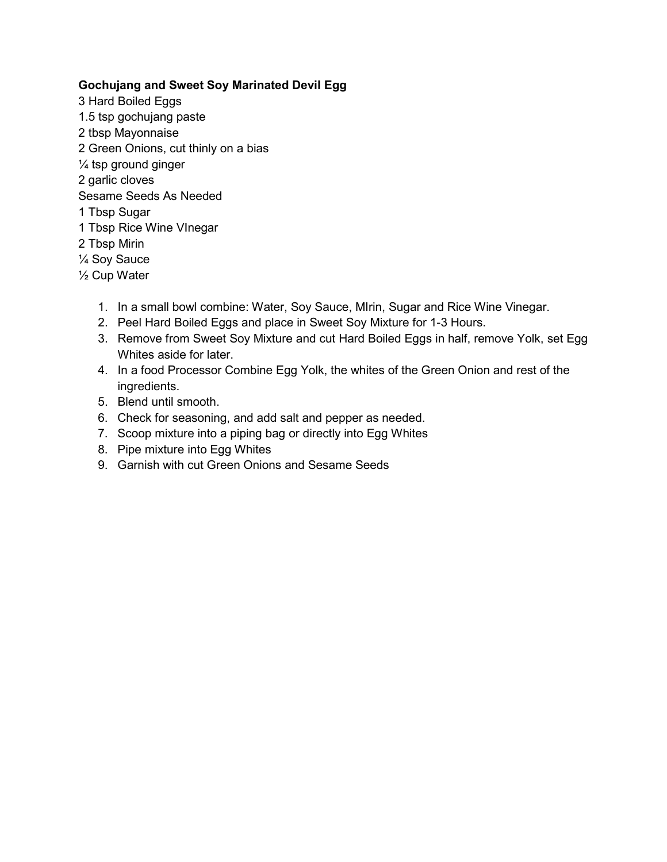#### **Gochujang and Sweet Soy Marinated Devil Egg**

- 3 Hard Boiled Eggs 1.5 tsp gochujang paste 2 tbsp Mayonnaise 2 Green Onions, cut thinly on a bias ¼ tsp ground ginger 2 garlic cloves Sesame Seeds As Needed 1 Tbsp Sugar 1 Tbsp Rice Wine VInegar 2 Tbsp Mirin
- ¼ Soy Sauce
- ½ Cup Water
	- 1. In a small bowl combine: Water, Soy Sauce, MIrin, Sugar and Rice Wine Vinegar.
	- 2. Peel Hard Boiled Eggs and place in Sweet Soy Mixture for 1-3 Hours.
	- 3. Remove from Sweet Soy Mixture and cut Hard Boiled Eggs in half, remove Yolk, set Egg Whites aside for later.
	- 4. In a food Processor Combine Egg Yolk, the whites of the Green Onion and rest of the ingredients.
	- 5. Blend until smooth.
	- 6. Check for seasoning, and add salt and pepper as needed.
	- 7. Scoop mixture into a piping bag or directly into Egg Whites
	- 8. Pipe mixture into Egg Whites
	- 9. Garnish with cut Green Onions and Sesame Seeds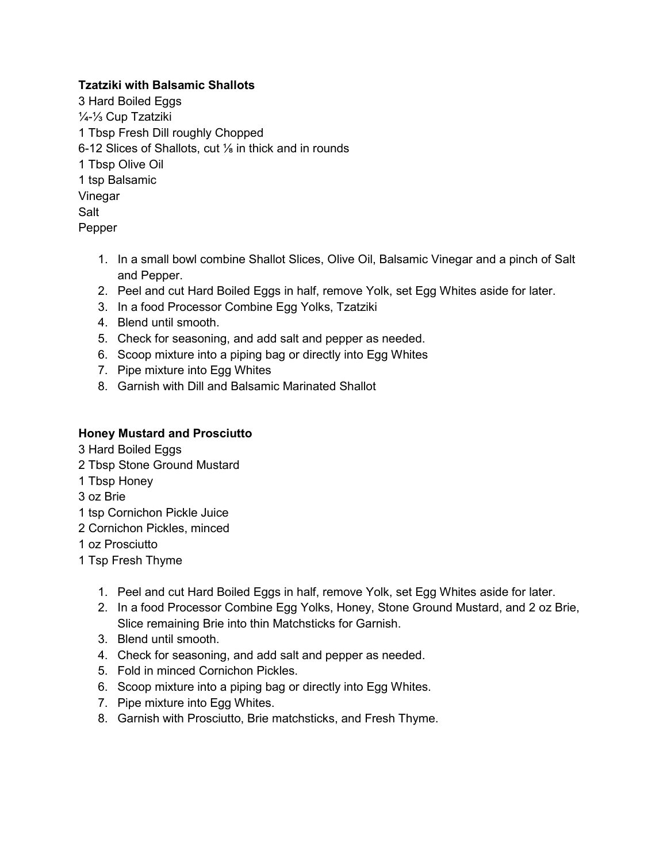#### **Tzatziki with Balsamic Shallots**

- 3 Hard Boiled Eggs ¼-⅓ Cup Tzatziki 1 Tbsp Fresh Dill roughly Chopped 6-12 Slices of Shallots, cut ⅛ in thick and in rounds 1 Tbsp Olive Oil 1 tsp Balsamic Vinegar Salt Pepper
	- 1. In a small bowl combine Shallot Slices, Olive Oil, Balsamic Vinegar and a pinch of Salt and Pepper.
	- 2. Peel and cut Hard Boiled Eggs in half, remove Yolk, set Egg Whites aside for later.
	- 3. In a food Processor Combine Egg Yolks, Tzatziki
	- 4. Blend until smooth.
	- 5. Check for seasoning, and add salt and pepper as needed.
	- 6. Scoop mixture into a piping bag or directly into Egg Whites
	- 7. Pipe mixture into Egg Whites
	- 8. Garnish with Dill and Balsamic Marinated Shallot

### **Honey Mustard and Prosciutto**

- 3 Hard Boiled Eggs
- 2 Tbsp Stone Ground Mustard
- 1 Tbsp Honey
- 3 oz Brie
- 1 tsp Cornichon Pickle Juice
- 2 Cornichon Pickles, minced
- 1 oz Prosciutto
- 1 Tsp Fresh Thyme
	- 1. Peel and cut Hard Boiled Eggs in half, remove Yolk, set Egg Whites aside for later.
	- 2. In a food Processor Combine Egg Yolks, Honey, Stone Ground Mustard, and 2 oz Brie, Slice remaining Brie into thin Matchsticks for Garnish.
	- 3. Blend until smooth.
	- 4. Check for seasoning, and add salt and pepper as needed.
	- 5. Fold in minced Cornichon Pickles.
	- 6. Scoop mixture into a piping bag or directly into Egg Whites.
	- 7. Pipe mixture into Egg Whites.
	- 8. Garnish with Prosciutto, Brie matchsticks, and Fresh Thyme.